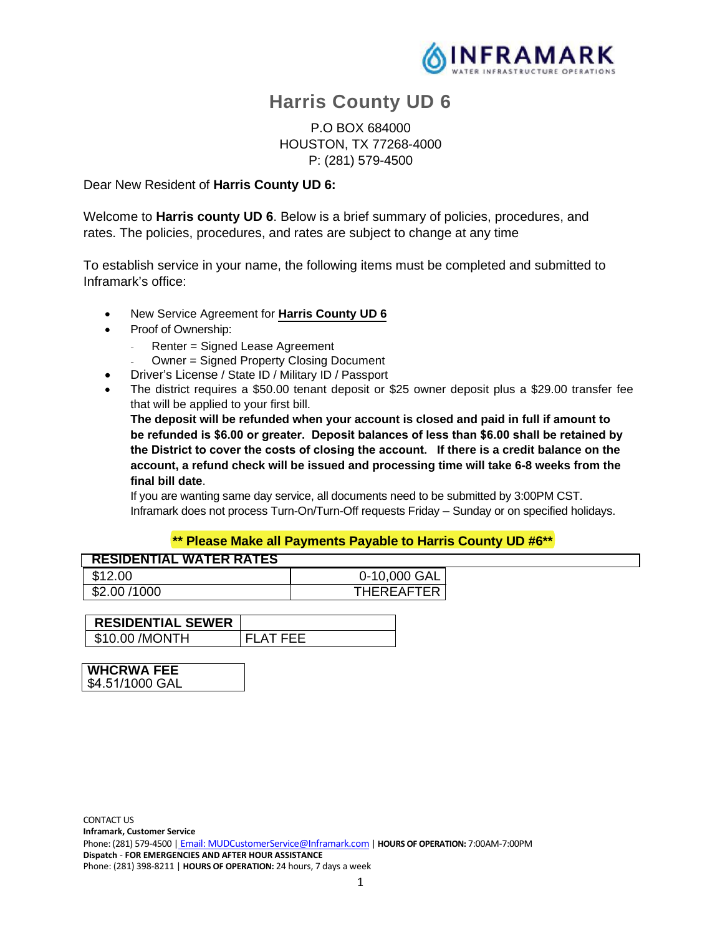

# **Harris County UD 6**

P.O BOX 684000 HOUSTON, TX 77268-4000 P: (281) 579-4500

#### Dear New Resident of **Harris County UD 6:**

Welcome to **Harris county UD 6**. Below is a brief summary of policies, procedures, and rates. The policies, procedures, and rates are subject to change at any time

To establish service in your name, the following items must be completed and submitted to Inframark's office:

- New Service Agreement for **Harris County UD 6**
- Proof of Ownership:
	- Renter = Signed Lease Agreement
	- Owner = Signed Property Closing Document
- Driver's License / State ID / Military ID / Passport
- The district requires a \$50.00 tenant deposit or \$25 owner deposit plus a \$29.00 transfer fee that will be applied to your first bill.

**The deposit will be refunded when your account is closed and paid in full if amount to be refunded is \$6.00 or greater. Deposit balances of less than \$6.00 shall be retained by the District to cover the costs of closing the account. If there is a credit balance on the account, a refund check will be issued and processing time will take 6-8 weeks from the final bill date**.

If you are wanting same day service, all documents need to be submitted by 3:00PM CST. Inframark does not process Turn-On/Turn-Off requests Friday – Sunday or on specified holidays.

#### **\*\* Please Make all Payments Payable to Harris County UD #6\*\***

| 0-10,000 GAL      |
|-------------------|
| <b>THEREAFTER</b> |
|                   |

| <b>RESIDENTIAL SEWER</b> |           |
|--------------------------|-----------|
| \$10.00 / MONTH          | FI AT FFF |

| <b>WHCRWA FEE</b> |  |
|-------------------|--|
| \$4.51/1000 GAL   |  |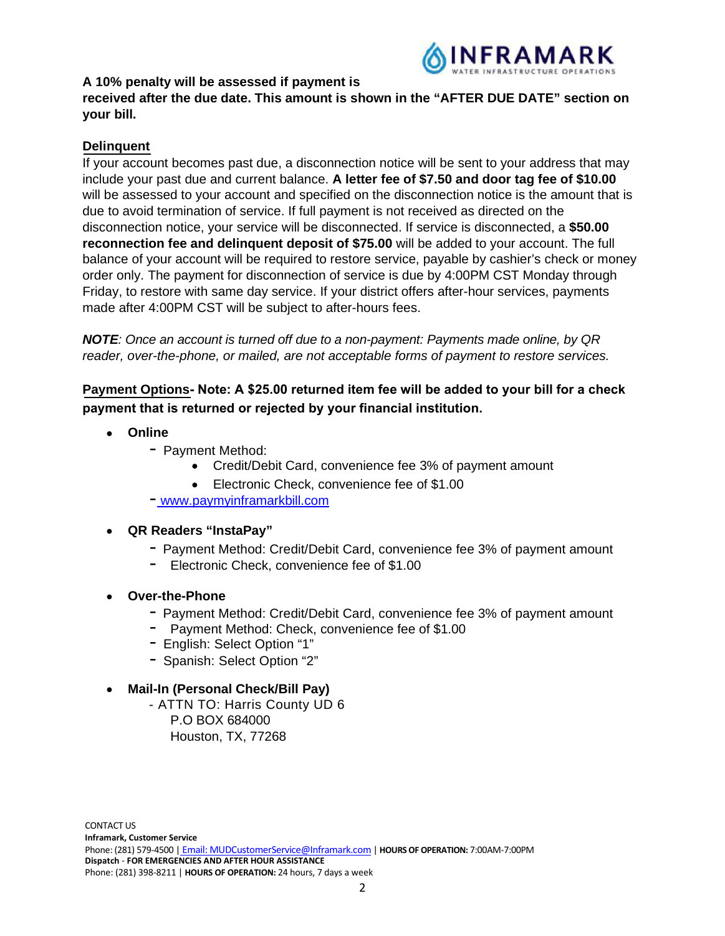

## **A 10% penalty will be assessed if payment is**

**received after the due date. This amount is shown in the "AFTER DUE DATE" section on your bill.**

## **Delinquent**

If your account becomes past due, a disconnection notice will be sent to your address that may include your past due and current balance. **A letter fee of \$7.50 and door tag fee of \$10.00**  will be assessed to your account and specified on the disconnection notice is the amount that is due to avoid termination of service. If full payment is not received as directed on the disconnection notice, your service will be disconnected. If service is disconnected, a **\$50.00 reconnection fee and delinquent deposit of \$75.00** will be added to your account. The full balance of your account will be required to restore service, payable by cashier's check or money order only. The payment for disconnection of service is due by 4:00PM CST Monday through Friday, to restore with same day service. If your district offers after-hour services, payments made after 4:00PM CST will be subject to after-hours fees.

*NOTE: Once an account is turned off due to a non-payment: Payments made online, by QR reader, over-the-phone, or mailed, are not acceptable forms of payment to restore services.*

# **Payment Options Note: A \$25.00 returned item fee will be added to your bill for a check payment that is returned or rejected by your financial institution.**

- **Online**
	- Payment Method:
		- Credit/Debit Card, convenience fee 3% of payment amount
		- Electronic Check, convenience fee of \$1.00
	- www.paymyinframarkbill.com

### **QR Readers "InstaPay"**

- Payment Method: Credit/Debit Card, convenience fee 3% of payment amount
- Electronic Check, convenience fee of \$1.00
- **Over-the-Phone**
	- Payment Method: Credit/Debit Card, convenience fee 3% of payment amount
	- Payment Method: Check, convenience fee of \$1.00
	- English: Select Option "1"
	- Spanish: Select Option "2"

### **Mail-In (Personal Check/Bill Pay)**

- ATTN TO: Harris County UD 6

P.O BOX 684000 Houston, TX, 77268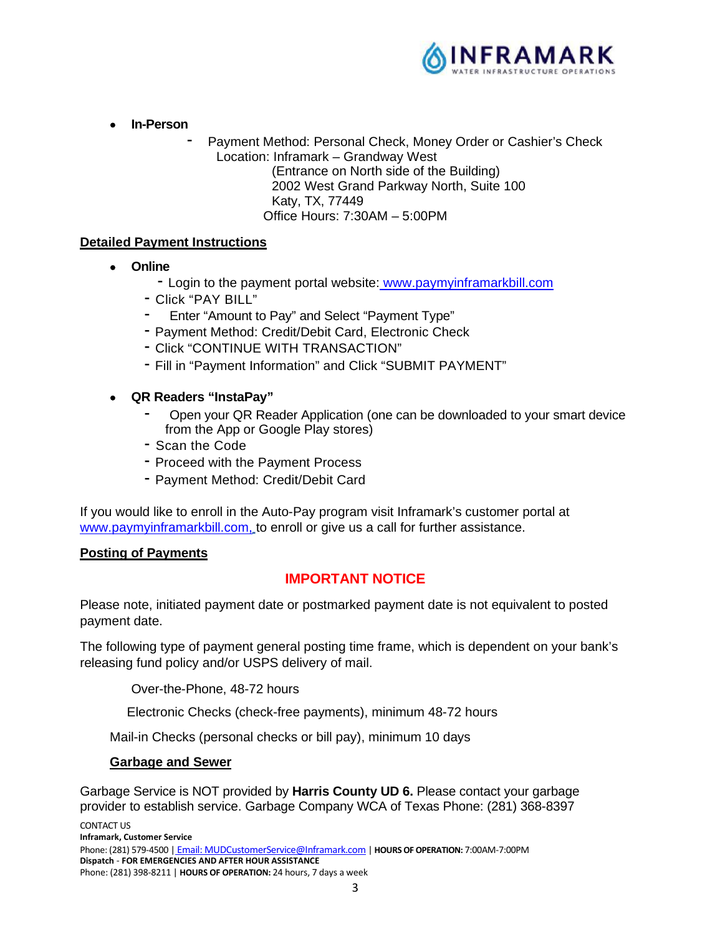

- **In-Person** 
	- Payment Method: Personal Check, Money Order or Cashier's Check Location: Inframark – Grandway West

(Entrance on North side of the Building) 2002 West Grand Parkway North, Suite 100 Katy, TX, 77449 Office Hours: 7:30AM – 5:00PM

## **Detailed Payment Instructions**

- **Online** 
	- Login to the payment portal website: www.paymyinframarkbill.com
	- Click "PAY BILL"
	- Enter "Amount to Pay" and Select "Payment Type"
	- Payment Method: Credit/Debit Card, Electronic Check
	- Click "CONTINUE WITH TRANSACTION"
	- Fill in "Payment Information" and Click "SUBMIT PAYMENT"
- **QR Readers "InstaPay"** 
	- Open vour QR Reader Application (one can be downloaded to your smart device from the App or Google Play stores)
	- Scan the Code
	- Proceed with the Payment Process
	- Payment Method: Credit/Debit Card

If you would like to enroll in the Auto-Pay program visit Inframark's customer portal at www.paymyinframarkbill.com, to enroll or give us a call for further assistance.

### **Posting of Payments**

# **IMPORTANT NOTICE**

Please note, initiated payment date or postmarked payment date is not equivalent to posted payment date.

The following type of payment general posting time frame, which is dependent on your bank's releasing fund policy and/or USPS delivery of mail.

Over-the-Phone, 48-72 hours

Electronic Checks (check-free payments), minimum 48-72 hours

Mail-in Checks (personal checks or bill pay), minimum 10 days

#### **Garbage and Sewer**

Garbage Service is NOT provided by **Harris County UD 6.** Please contact your garbage provider to establish service. Garbage Company WCA of Texas Phone: (281) 368-8397